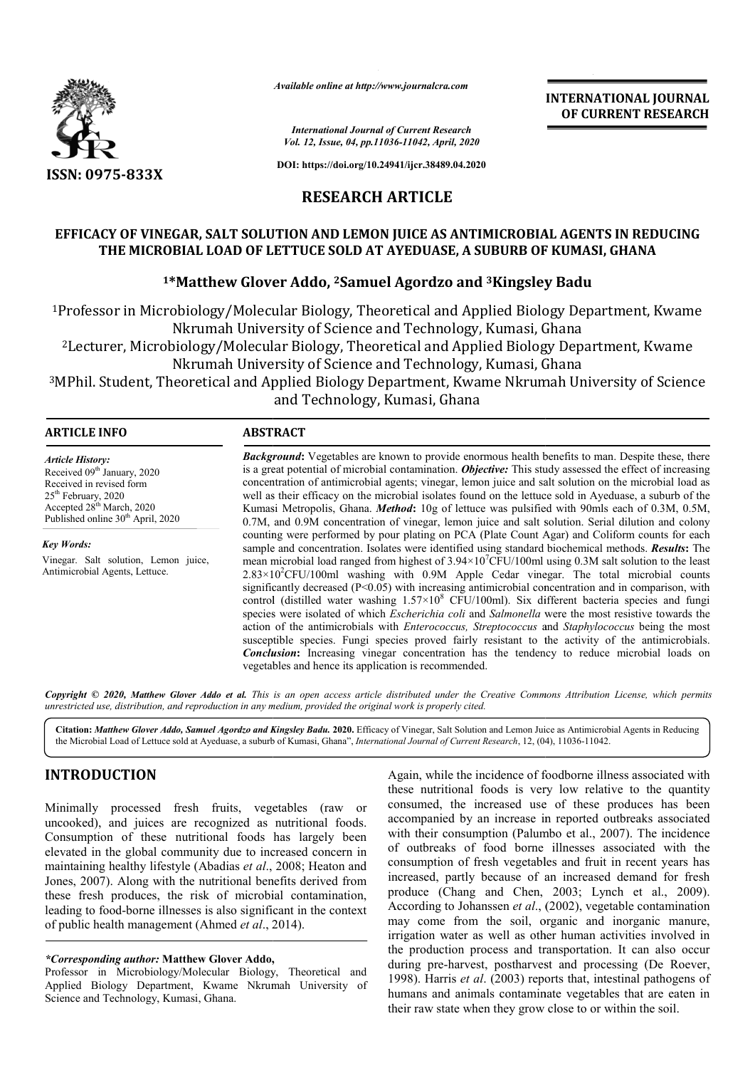

*Available online at http://www.journalcra.com*

*International Journal of Current Research Vol. 12, Issue, 04, pp.11036-11042, April, 2020* **INTERNATIONAL JOURNAL OF CURRENT RESEARCH**

**DOI: https://doi.org/10.24941/ijcr.38489.04.2020**

## **RESEARCH ARTICLE**

# EFFICACY OF VINEGAR, SALT SOLUTION AND LEMON JUICE AS ANTIMICROBIAL AGENTS IN REDUCING THE MICROBIAL LOAD OF LETTUCE SOLD AT AYEDUASE, A SUBURB OF KUMASI, GHANA<br><sup>1</sup>\*Matthew Glover Addo, <sup>2</sup>Samuel Agordzo and <sup>3</sup>Kingsley Badu

## **1\*Matthew Glover Addo, \*Matthew 2Samuel Agordzo and 3Kingsley Badu**

<sup>1</sup>Professor in Microbiology/Molecular Biology, Theoretical and Applied Biology Department, Kwame<br>Nkrumah University of Science and Technology, Kumasi, Ghana Nkrumah University of Science and Technology, Professor in Microbiology/Molecular Biology, Theoretical and Applied Biology Department, Kwame<br>Nkrumah University of Science and Technology, Kumasi, Ghana<br><sup>2</sup>Lecturer, Microbiology/Molecular Biology, Theoretical and Applie

Nkrumah University of Science and Technology, Kumasi, Ghana

3MPhil. Student, Theoretical and Applied Biology Department, Kwame Nkrumah University of Lecturer, Microbiology/Molecular Biology, Theoretical and App<br>Nkrumah University of Science and Technology<br>Phil. Student, Theoretical and Applied Biology Department, Kwa<br>and Technology, Kumasi, Ghana Theoretical and Applied Biology Department, Kwame Nkrumah University of Science

#### **ARTICLE INFO ABSTRACT Background:** Vegetables are known to provide enormous health benefits to man. Despite these, there is a great potential of microbial contamination. *Objective:* This study assessed the effect of increasing concentration of antimicrobial agents; vinegar, lemon juice and salt solution on the microbial load as well as their efficacy on the microbial isolates found on the lettuce sold in Ayeduase, a suburb of the Kumasi Metropolis, Ghana. *Method*: 10g of lettuce was pulsified with 90mls each of 0.3M, 0.5M, 0.7M, and 0.9M concentration of vinegar, lemon juice and salt solution. Serial dilution and colony counting were performed by pour plating on PCA (Plate Count Agar) and Coliform counts for each sample and concentration. Isolates were identified using standard biochemical methods. sample and standard biochemical *Results***:** The mean microbial load ranged from highest of  $3.94 \times 10^{7}$ CFU/100ml using 0.3M salt solution to the least  $2.83 \times 10^2$ CFU/100ml washing with 0.9M Apple Cedar vinegar. The total microbial counts significantly decreased (P<0.05) with increasing antimicrobial concentration and in comparison, with control (distilled water washing  $1.57 \times 10^8$  CFU/100ml). Six different bacteria species and fungi mean microbial load ranged from highest of 3.94×10'CFU/100ml using 0.3M salt solution to the least 2.83×10<sup>2</sup>CFU/100ml washing with 0.9M Apple Cedar vinegar. The total microbial counts significantly decreased (P<0.05) with action of the antimicrobials with *Enterococcus, Streptococcus* and *Staphylococcus* being the most susceptible species. Fungi species proved fairly resistant to the activity of the antimicrobials. **Conclusion:** Increasing vinegar concentration has the tendency to reduce microbial loads on vegetables and hence its application is recommended. *Article History:* Received 09<sup>th</sup> January, 2020 Received in revised form 25<sup>th</sup> February, 2020 Accepted 28<sup>th</sup> March, 2020 Published online 30<sup>th</sup> April, 2020 *Key Words:* Vinegar. Salt solution, Lemon juice, Antimicrobial Agents, Lettuce. **Background:** Vegetables are known to provide enormous health benefits to man. Despite these, there is a great potential of microbial contamination. *Objective*: This study assessed the effect of increasing concentration o

Copyright © 2020, Matthew Glover Addo et al. This is an open access article distributed under the Creative Commons Attribution License, which permits *unrestricted use, distribution, and reproduction in any medium, provided the original work is properly cited.*

Citation: Matthew Glover Addo, Samuel Agordzo and Kingsley Badu. 2020. Efficacy of Vinegar, Salt Solution and Lemon Juice as Antimicrobial Agents in Reducing Citation: Matthew Glover Addo, Samuel Agordzo and Kingsley Badu. 2020. Efficacy of Vinegar, Salt Solution and Lemon Juice as Antimicrobial Agents<br>the Microbial Load of Lettuce sold at Ayeduase, a suburb of Kumasi, Ghana",

## **INTRODUCTION**

Minimally processed fresh fruits, vegetables (raw or uncooked), and juices are recognized as nutritional foods. uncooked), and juices are recognized as nutritional foods.<br>Consumption of these nutritional foods has largely been elevated in the global community due to increased concern in maintaining healthy lifestyle (Abadias *et al*., 2008; Heaton and Jones, 2007). Along with the nutritional benefits derived from these fresh produces, the risk of microbial contamination, leading to food-borne illnesses is also significant in the context of public health management (Ahmed *et al*., 2014).

#### *\*Corresponding author:* **Matthew Glover Addo,**

Professor in Microbiology/Molecular Biology, Theoretical and Applied Biology Department, Kwame Nkrumah University of Science and Technology, Kumasi, Ghana.

Again, while the incidence of foodborne illness associated with<br>these nutritional foods is very low relative to the quantity<br>consumed, the increased use of these produces has been<br>nutritional foods.<br>has largely been with t these nutritional foods is very low relative to the quantity consumed, the increased use of these produces has been accompanied by an increase in reported outbreaks associated with their consumption (Palumbo et al., 2007). The incidence of outbreaks of food borne illnesses associated with the consumption of fresh vegetables and fruit in recent years has increased, partly because of an increased demand for fresh produce (Chang and Chen, 2003; Lynch et al., 2009). According to Johanssen *et al*., (2002), vegetable contamination may come from the soil, organic and inorganic manure, irrigation water as well as other human activities involved in the production process and transportation. It can also occur during pre-harvest, postharvest and processing (De Roever, 1998). Harris *et al*. (2003) reports that, intestinal pathogens of humans and animals contaminate vegetables that are eaten in their raw state when they grow close to or within the soil. Again, while the incidence of foodborne illness associated with these nutritional foods is very low relative to the quantity consumed, the increased use of these produces has been sumption of fresh vegetables and fruit in recent years has reased, partly because of an increased demand for fresh duce (Chang and Chen, 2003; Lynch et al., 2009). cording to Johanssen *et al.*, (2002), vegetable contamina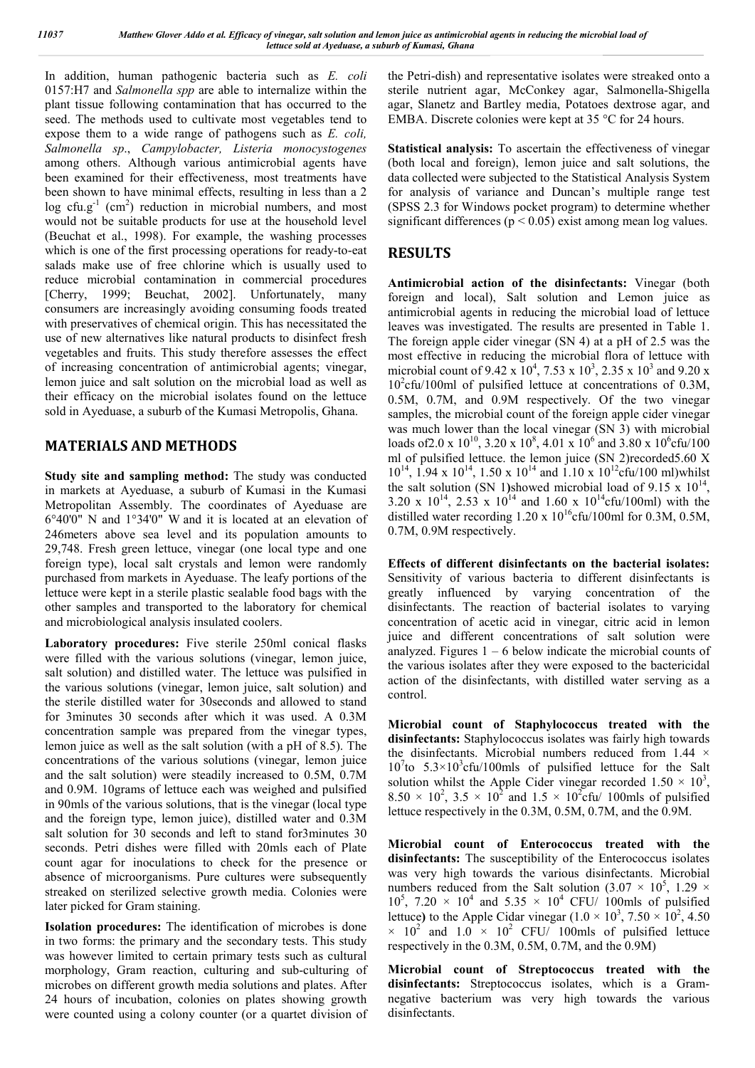In addition, human pathogenic bacteria such as *E. coli* 0157:H7 and *Salmonella spp* are able to internalize within the plant tissue following contamination that has occurred to the seed. The methods used to cultivate most vegetables tend to expose them to a wide range of pathogens such as *E. coli, Salmonella sp*., *Campylobacter, Listeria monocystogenes* among others. Although various antimicrobial agents have been examined for their effectiveness, most treatments have been shown to have minimal effects, resulting in less than a 2 log cfu.g<sup>-1</sup> (cm<sup>2</sup>) reduction in microbial numbers, and most would not be suitable products for use at the household level (Beuchat et al., 1998). For example, the washing processes which is one of the first processing operations for ready-to-eat salads make use of free chlorine which is usually used to reduce microbial contamination in commercial procedures [Cherry, 1999; Beuchat, 2002]. Unfortunately, many consumers are increasingly avoiding consuming foods treated with preservatives of chemical origin. This has necessitated the use of new alternatives like natural products to disinfect fresh vegetables and fruits. This study therefore assesses the effect of increasing concentration of antimicrobial agents; vinegar, lemon juice and salt solution on the microbial load as well as their efficacy on the microbial isolates found on the lettuce sold in Ayeduase, a suburb of the Kumasi Metropolis, Ghana.

### **MATERIALS AND METHODS**

**Study site and sampling method:** The study was conducted in markets at Ayeduase, a suburb of Kumasi in the Kumasi Metropolitan Assembly. The coordinates of Ayeduase are 6°40'0" N and 1°34'0" W and it is located at an elevation of 246meters above sea level and its population amounts to 29,748. Fresh green lettuce, vinegar (one local type and one foreign type), local salt crystals and lemon were randomly purchased from markets in Ayeduase. The leafy portions of the lettuce were kept in a sterile plastic sealable food bags with the other samples and transported to the laboratory for chemical and microbiological analysis insulated coolers.

**Laboratory procedures:** Five sterile 250ml conical flasks were filled with the various solutions (vinegar, lemon juice, salt solution) and distilled water. The lettuce was pulsified in the various solutions (vinegar, lemon juice, salt solution) and the sterile distilled water for 30seconds and allowed to stand for 3minutes 30 seconds after which it was used. A 0.3M concentration sample was prepared from the vinegar types, lemon juice as well as the salt solution (with a pH of 8.5). The concentrations of the various solutions (vinegar, lemon juice and the salt solution) were steadily increased to 0.5M, 0.7M and 0.9M. 10grams of lettuce each was weighed and pulsified in 90mls of the various solutions, that is the vinegar (local type and the foreign type, lemon juice), distilled water and 0.3M salt solution for 30 seconds and left to stand for3minutes 30 seconds. Petri dishes were filled with 20mls each of Plate count agar for inoculations to check for the presence or absence of microorganisms. Pure cultures were subsequently streaked on sterilized selective growth media. Colonies were later picked for Gram staining.

**Isolation procedures:** The identification of microbes is done in two forms: the primary and the secondary tests. This study was however limited to certain primary tests such as cultural morphology, Gram reaction, culturing and sub-culturing of microbes on different growth media solutions and plates. After 24 hours of incubation, colonies on plates showing growth were counted using a colony counter (or a quartet division of the Petri-dish) and representative isolates were streaked onto a sterile nutrient agar, McConkey agar, Salmonella-Shigella agar, Slanetz and Bartley media, Potatoes dextrose agar, and EMBA. Discrete colonies were kept at 35 °C for 24 hours.

**Statistical analysis:** To ascertain the effectiveness of vinegar (both local and foreign), lemon juice and salt solutions, the data collected were subjected to the Statistical Analysis System for analysis of variance and Duncan's multiple range test (SPSS 2.3 for Windows pocket program) to determine whether significant differences ( $p < 0.05$ ) exist among mean log values.

### **RESULTS**

**Antimicrobial action of the disinfectants:** Vinegar (both foreign and local), Salt solution and Lemon juice as antimicrobial agents in reducing the microbial load of lettuce leaves was investigated. The results are presented in Table 1. The foreign apple cider vinegar (SN 4) at a pH of 2.5 was the most effective in reducing the microbial flora of lettuce with microbial count of 9.42 x  $10^4$ , 7.53 x  $10^3$ , 2.35 x  $10^3$  and 9.20 x 10<sup>2</sup>cfu/100ml of pulsified lettuce at concentrations of 0.3M, 0.5M, 0.7M, and 0.9M respectively. Of the two vinegar samples, the microbial count of the foreign apple cider vinegar was much lower than the local vinegar (SN 3) with microbial loads of 2.0 x 10<sup>10</sup>, 3.20 x 10<sup>8</sup>, 4.01 x 10<sup>6</sup> and 3.80 x 10<sup>6</sup> cfu/100 ml of pulsified lettuce. the lemon juice (SN 2)recorded5.60 X  $10^{14}$ , 1.94 x  $10^{14}$ , 1.50 x  $10^{14}$  and 1.10 x  $10^{12}$ cfu/100 ml)whilst the salt solution (SN 1)showed microbial load of  $9.15 \times 10^{14}$ , 3.20 x  $10^{14}$ , 2.53 x  $10^{14}$  and 1.60 x  $10^{14}$ cfu/100ml) with the distilled water recording  $1.20 \times 10^{16}$ cfu/100ml for 0.3M, 0.5M, 0.7M, 0.9M respectively.

**Effects of different disinfectants on the bacterial isolates:**  Sensitivity of various bacteria to different disinfectants is greatly influenced by varying concentration of the disinfectants. The reaction of bacterial isolates to varying concentration of acetic acid in vinegar, citric acid in lemon juice and different concentrations of salt solution were analyzed. Figures  $1 - 6$  below indicate the microbial counts of the various isolates after they were exposed to the bactericidal action of the disinfectants, with distilled water serving as a control.

**Microbial count of Staphylococcus treated with the disinfectants:** Staphylococcus isolates was fairly high towards the disinfectants. Microbial numbers reduced from 1.44 ×  $10^{7}$ to  $5.3 \times 10^{3}$ cfu/100mls of pulsified lettuce for the Salt solution whilst the Apple Cider vinegar recorded  $1.50 \times 10^3$ ,  $8.50 \times 10^2$ ,  $3.5 \times 10^2$  and  $1.5 \times 10^2$  cfu/ 100mls of pulsified lettuce respectively in the 0.3M, 0.5M, 0.7M, and the 0.9M.

**Microbial count of Enterococcus treated with the disinfectants:** The susceptibility of the Enterococcus isolates was very high towards the various disinfectants. Microbial numbers reduced from the Salt solution  $(3.07 \times 10^5, 1.29 \times$  $10^5$ , 7.20 ×  $10^4$  and 5.35 ×  $10^4$  CFU/ 100mls of pulsified lettuce) to the Apple Cidar vinegar  $(1.0 \times 10^3, 7.50 \times 10^2, 4.50)$  $\times$  10<sup>2</sup> and 1.0  $\times$  10<sup>2</sup> CFU/ 100mls of pulsified lettuce respectively in the 0.3M, 0.5M, 0.7M, and the 0.9M)

**Microbial count of Streptococcus treated with the disinfectants:** Streptococcus isolates, which is a Gramnegative bacterium was very high towards the various disinfectants.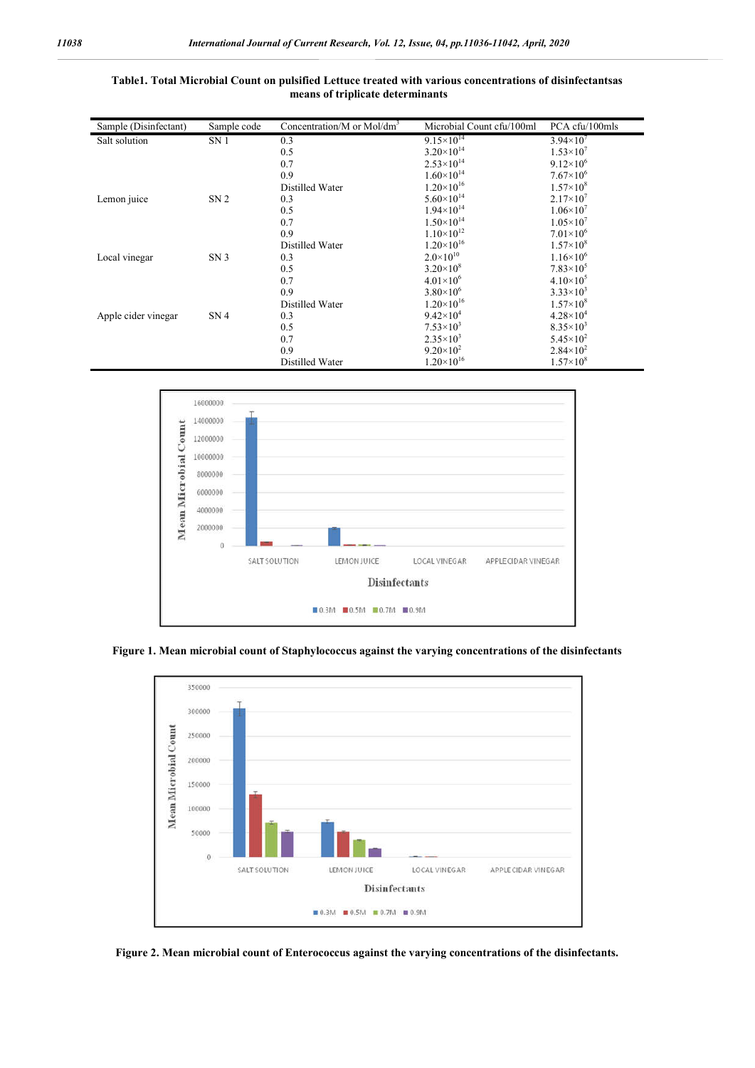| Sample (Disinfectant) | Sample code     | Concentration/M or Mol/dm <sup>3</sup> | Microbial Count cfu/100ml | PCA cfu/100mls       |
|-----------------------|-----------------|----------------------------------------|---------------------------|----------------------|
| Salt solution         | SN <sub>1</sub> | 0.3                                    | $9.15 \times 10^{14}$     | $3.94\times10^{7}$   |
|                       |                 | 0.5                                    | $3.20\times10^{14}$       | $1.53\times10^{7}$   |
|                       |                 | 0.7                                    | $2.53 \times 10^{14}$     | $9.12\times10^{6}$   |
|                       |                 | 0.9                                    | $1.60\times10^{14}$       | $7.67\times10^{6}$   |
|                       |                 | Distilled Water                        | $1.20\times10^{16}$       | $1.57\times10^{8}$   |
| Lemon juice           | SN <sub>2</sub> | 0.3                                    | $5.60\times10^{14}$       | $2.17\times10^{7}$   |
|                       |                 | 0.5                                    | $1.94\times10^{14}$       | $1.06 \times 10^{7}$ |
|                       |                 | 0.7                                    | $1.50\times10^{14}$       | $1.05 \times 10^{7}$ |
|                       |                 | 0.9                                    | $1.10\times10^{12}$       | $7.01\times10^{6}$   |
|                       |                 | Distilled Water                        | $1.20\times10^{16}$       | $1.57\times10^{8}$   |
| Local vinegar         | SN <sub>3</sub> | 0.3                                    | $2.0 \times 10^{10}$      | $1.16 \times 10^{6}$ |
|                       |                 | 0.5                                    | $3.20\times10^{8}$        | $7.83\times10^{5}$   |
|                       |                 | 0.7                                    | $4.01 \times 10^{6}$      | $4.10\times10^{5}$   |
|                       |                 | 0.9                                    | $3.80\times10^{6}$        | $3.33\times10^{3}$   |
|                       |                 | Distilled Water                        | $1.20\times10^{16}$       | $1.57\times10^{8}$   |
| Apple cider vinegar   | SN <sub>4</sub> | 0.3                                    | $9.42\times10^{4}$        | $4.28 \times 10^{4}$ |
|                       |                 | 0.5                                    | $7.53\times10^{3}$        | $8.35\times10^{3}$   |
|                       |                 | 0.7                                    | $2.35 \times 10^3$        | $5.45 \times 10^{2}$ |
|                       |                 | 0.9                                    | $9.20\times10^{2}$        | $2.84 \times 10^{2}$ |
|                       |                 | Distilled Water                        | $1.20\times10^{16}$       | $1.57\times10^{8}$   |

#### **Table1. Total Microbial Count on pulsified Lettuce treated with various concentrations of disinfectantsas means of triplicate determinants**



**Figure 1. Mean microbial count of Staphylococcus against the varying concentrations of the disinfectants**



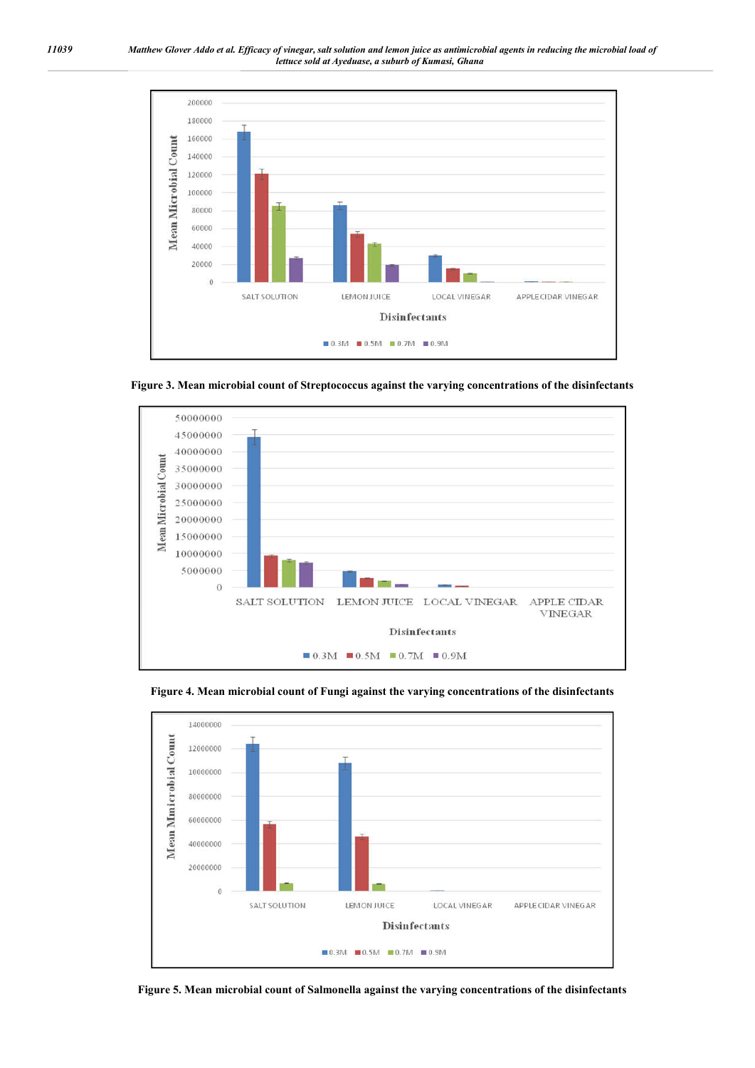

**Figure 3. Mean microbial count of Streptococcus against the varying concentrations of the disinfectants**





**Figure 4. Mean microbial count of Fungi against the varying concentrations of the disinfectants**

**Figure 5. Mean microbial count of Salmonella against the varying concentrations of the disinfectants**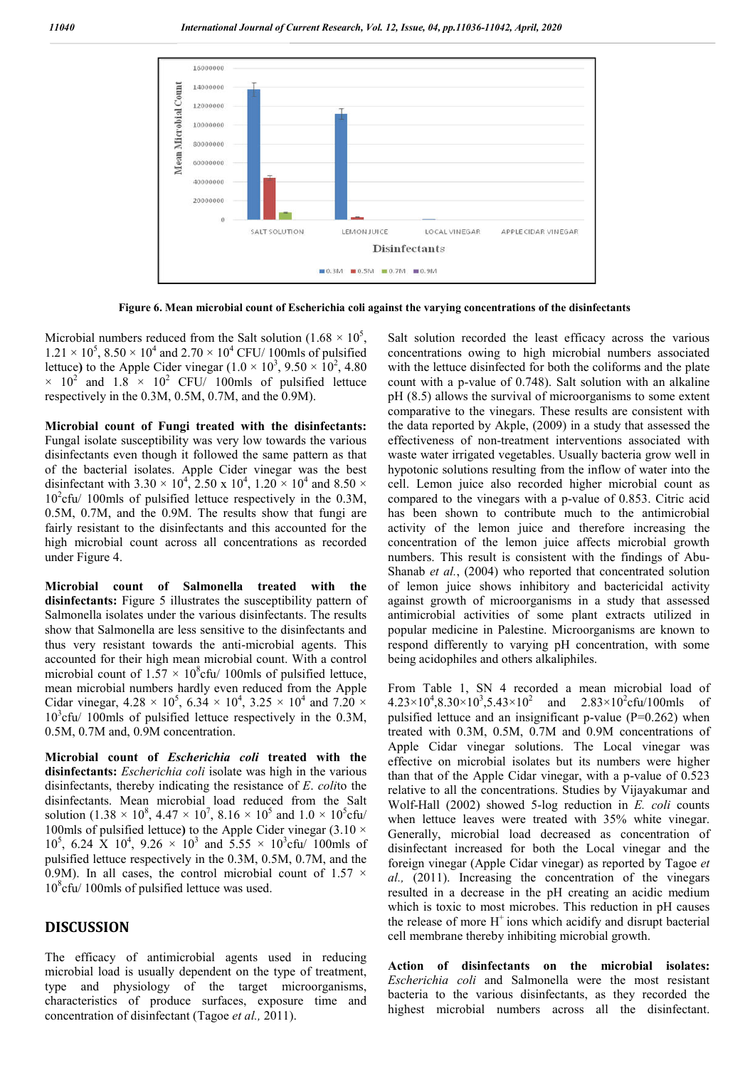

**Figure 6. Mean microbial count of Escherichia coli against the varying concentrations of the disinfectants**

Microbial numbers reduced from the Salt solution (1.68  $\times$  10<sup>5</sup>,  $1.21 \times 10^5$ ,  $8.50 \times 10^4$  and  $2.70 \times 10^4$  CFU/ 100mls of pulsified lettuce) to the Apple Cider vinegar  $(1.0 \times 10^3, 9.50 \times 10^2, 4.80)$  $\times$  10<sup>2</sup> and 1.8  $\times$  10<sup>2</sup> CFU/ 100mls of pulsified lettuce respectively in the 0.3M, 0.5M, 0.7M, and the 0.9M).

**Microbial count of Fungi treated with the disinfectants:**  Fungal isolate susceptibility was very low towards the various disinfectants even though it followed the same pattern as that of the bacterial isolates. Apple Cider vinegar was the best disinfectant with 3.30  $\times$  10<sup>4</sup>, 2.50 x 10<sup>4</sup>, 1.20  $\times$  10<sup>4</sup> and 8.50  $\times$  $10^2$ cfu/ 100mls of pulsified lettuce respectively in the 0.3M, 0.5M, 0.7M, and the 0.9M. The results show that fungi are fairly resistant to the disinfectants and this accounted for the high microbial count across all concentrations as recorded under Figure 4.

**Microbial count of Salmonella treated with the disinfectants:** Figure 5 illustrates the susceptibility pattern of Salmonella isolates under the various disinfectants. The results show that Salmonella are less sensitive to the disinfectants and thus very resistant towards the anti-microbial agents. This accounted for their high mean microbial count. With a control microbial count of  $1.57 \times 10^8$ cfu/ 100mls of pulsified lettuce, mean microbial numbers hardly even reduced from the Apple Cidar vinegar,  $4.28 \times 10^5$ ,  $6.34 \times 10^4$ ,  $3.25 \times 10^4$  and  $7.20 \times$ 10<sup>3</sup>cfu/ 100mls of pulsified lettuce respectively in the 0.3M, 0.5M, 0.7M and, 0.9M concentration.

**Microbial count of** *Escherichia coli* **treated with the disinfectants:** *Escherichia coli* isolate was high in the various disinfectants, thereby indicating the resistance of *E*. *coli*to the disinfectants. Mean microbial load reduced from the Salt solution (1.38  $\times$  10<sup>8</sup>, 4.47  $\times$  10<sup>7</sup>, 8.16  $\times$  10<sup>5</sup> and 1.0  $\times$  10<sup>5</sup> cfu/ 100mls of pulsified lettuce**)** to the Apple Cider vinegar (3.10 ×  $10^5$ , 6.24 X  $10^4$ , 9.26  $\times$   $10^3$  and 5.55  $\times$   $10^3$ cfu/ 100mls of pulsified lettuce respectively in the 0.3M, 0.5M, 0.7M, and the 0.9M). In all cases, the control microbial count of 1.57  $\times$ 10<sup>8</sup> cfu/ 100mls of pulsified lettuce was used.

#### **DISCUSSION**

The efficacy of antimicrobial agents used in reducing microbial load is usually dependent on the type of treatment, type and physiology of the target microorganisms, characteristics of produce surfaces, exposure time and concentration of disinfectant (Tagoe *et al.,* 2011).

Salt solution recorded the least efficacy across the various concentrations owing to high microbial numbers associated with the lettuce disinfected for both the coliforms and the plate count with a p-value of 0.748). Salt solution with an alkaline pH (8.5) allows the survival of microorganisms to some extent comparative to the vinegars. These results are consistent with the data reported by Akple, (2009) in a study that assessed the effectiveness of non-treatment interventions associated with waste water irrigated vegetables. Usually bacteria grow well in hypotonic solutions resulting from the inflow of water into the cell. Lemon juice also recorded higher microbial count as compared to the vinegars with a p-value of 0.853. Citric acid has been shown to contribute much to the antimicrobial activity of the lemon juice and therefore increasing the concentration of the lemon juice affects microbial growth numbers. This result is consistent with the findings of Abu-Shanab *et al.*, (2004) who reported that concentrated solution of lemon juice shows inhibitory and bactericidal activity against growth of microorganisms in a study that assessed antimicrobial activities of some plant extracts utilized in popular medicine in Palestine. Microorganisms are known to respond differently to varying pH concentration, with some being acidophiles and others alkaliphiles.

From Table 1, SN 4 recorded a mean microbial load of  $4.23 \times 10^4, 8.30 \times 10^3, 5.43 \times 10^2$  and  $2.83 \times 10^2$ cfu/100mls of pulsified lettuce and an insignificant p-value  $(P=0.262)$  when treated with 0.3M, 0.5M, 0.7M and 0.9M concentrations of Apple Cidar vinegar solutions. The Local vinegar was effective on microbial isolates but its numbers were higher than that of the Apple Cidar vinegar, with a p-value of 0.523 relative to all the concentrations. Studies by Vijayakumar and Wolf-Hall (2002) showed 5-log reduction in *E. coli* counts when lettuce leaves were treated with 35% white vinegar. Generally, microbial load decreased as concentration of disinfectant increased for both the Local vinegar and the foreign vinegar (Apple Cidar vinegar) as reported by Tagoe *et al.,* (2011). Increasing the concentration of the vinegars resulted in a decrease in the pH creating an acidic medium which is toxic to most microbes. This reduction in pH causes the release of more  $H^+$  ions which acidify and disrupt bacterial cell membrane thereby inhibiting microbial growth.

**Action of disinfectants on the microbial isolates:**  *Escherichia coli* and Salmonella were the most resistant bacteria to the various disinfectants, as they recorded the highest microbial numbers across all the disinfectant.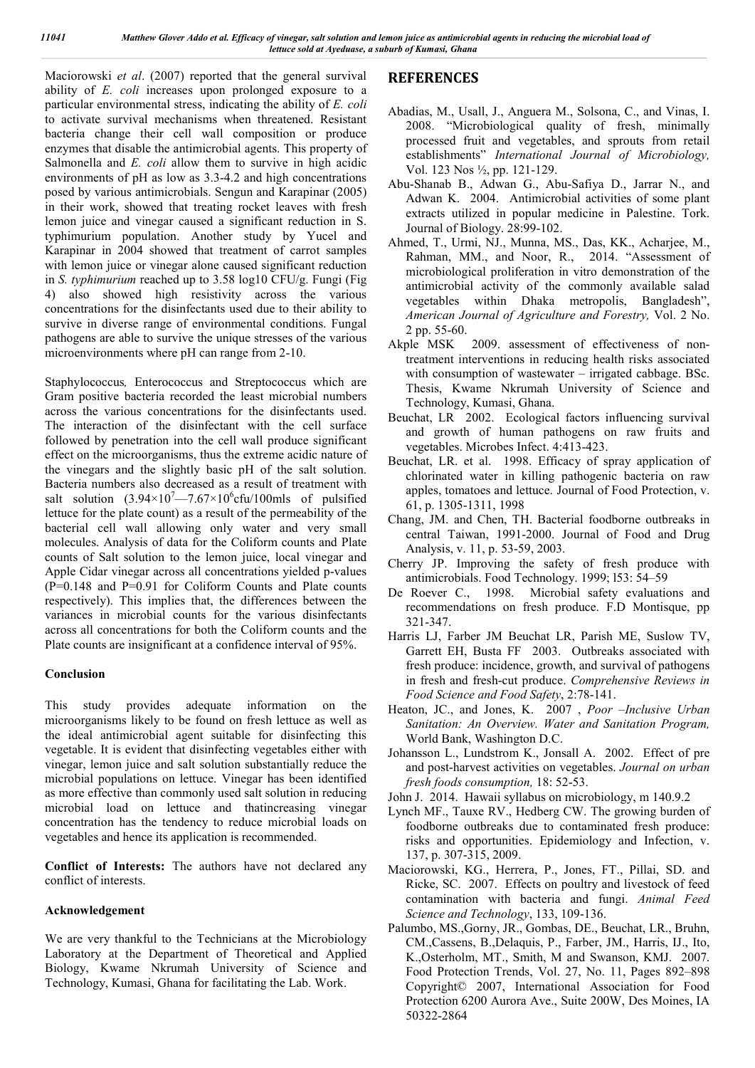Maciorowski *et al*. (2007) reported that the general survival ability of *E. coli* increases upon prolonged exposure to a particular environmental stress, indicating the ability of *E. coli* to activate survival mechanisms when threatened. Resistant bacteria change their cell wall composition or produce enzymes that disable the antimicrobial agents. This property of Salmonella and *E. coli* allow them to survive in high acidic environments of pH as low as 3.3-4.2 and high concentrations posed by various antimicrobials. Sengun and Karapinar (2005) in their work, showed that treating rocket leaves with fresh lemon juice and vinegar caused a significant reduction in S. typhimurium population. Another study by Yucel and Karapinar in 2004 showed that treatment of carrot samples with lemon juice or vinegar alone caused significant reduction in *S. typhimurium* reached up to 3.58 log10 CFU/g. Fungi (Fig 4) also showed high resistivity across the various concentrations for the disinfectants used due to their ability to survive in diverse range of environmental conditions. Fungal pathogens are able to survive the unique stresses of the various microenvironments where pH can range from 2-10.

Staphylococcus*,* Enterococcus and Streptococcus which are Gram positive bacteria recorded the least microbial numbers across the various concentrations for the disinfectants used. The interaction of the disinfectant with the cell surface followed by penetration into the cell wall produce significant effect on the microorganisms, thus the extreme acidic nature of the vinegars and the slightly basic pH of the salt solution. Bacteria numbers also decreased as a result of treatment with salt solution  $(3.94 \times 10^{7} - 7.67 \times 10^{6}$ cfu/100mls of pulsified lettuce for the plate count) as a result of the permeability of the bacterial cell wall allowing only water and very small molecules. Analysis of data for the Coliform counts and Plate counts of Salt solution to the lemon juice, local vinegar and Apple Cidar vinegar across all concentrations yielded p-values (P=0.148 and P=0.91 for Coliform Counts and Plate counts respectively). This implies that, the differences between the variances in microbial counts for the various disinfectants across all concentrations for both the Coliform counts and the Plate counts are insignificant at a confidence interval of 95%.

#### **Conclusion**

This study provides adequate information on the microorganisms likely to be found on fresh lettuce as well as the ideal antimicrobial agent suitable for disinfecting this vegetable. It is evident that disinfecting vegetables either with vinegar, lemon juice and salt solution substantially reduce the microbial populations on lettuce. Vinegar has been identified as more effective than commonly used salt solution in reducing microbial load on lettuce and thatincreasing vinegar concentration has the tendency to reduce microbial loads on vegetables and hence its application is recommended.

**Conflict of Interests:** The authors have not declared any conflict of interests.

#### **Acknowledgement**

We are very thankful to the Technicians at the Microbiology Laboratory at the Department of Theoretical and Applied Biology, Kwame Nkrumah University of Science and Technology, Kumasi, Ghana for facilitating the Lab. Work.

## **REFERENCES**

- Abadias, M., Usall, J., Anguera M., Solsona, C., and Vinas, I. 2008. "Microbiological quality of fresh, minimally processed fruit and vegetables, and sprouts from retail establishments" *International Journal of Microbiology,*  Vol. 123 Nos ½, pp. 121-129.
- Abu-Shanab B., Adwan G., Abu-Safiya D., Jarrar N., and Adwan K. 2004. Antimicrobial activities of some plant extracts utilized in popular medicine in Palestine. Tork. Journal of Biology. 28:99-102.
- Ahmed, T., Urmi, NJ., Munna, MS., Das, KK., Acharjee, M., Rahman, MM., and Noor, R., 2014. "Assessment of microbiological proliferation in vitro demonstration of the antimicrobial activity of the commonly available salad vegetables within Dhaka metropolis, Bangladesh", *American Journal of Agriculture and Forestry,* Vol. 2 No. 2 pp. 55-60.
- Akple MSK 2009. assessment of effectiveness of nontreatment interventions in reducing health risks associated with consumption of wastewater – irrigated cabbage. BSc. Thesis, Kwame Nkrumah University of Science and Technology, Kumasi, Ghana.
- Beuchat, LR 2002. Ecological factors influencing survival and growth of human pathogens on raw fruits and vegetables. Microbes Infect. 4:413-423.
- Beuchat, LR. et al. 1998. Efficacy of spray application of chlorinated water in killing pathogenic bacteria on raw apples, tomatoes and lettuce. Journal of Food Protection, v. 61, p. 1305-1311, 1998
- Chang, JM. and Chen, TH. Bacterial foodborne outbreaks in central Taiwan, 1991-2000. Journal of Food and Drug Analysis, v. 11, p. 53-59, 2003.
- Cherry JP. Improving the safety of fresh produce with antimicrobials. Food Technology. 1999; l53: 54–59
- De Roever C., 1998. Microbial safety evaluations and recommendations on fresh produce. F.D Montisque, pp 321-347.
- Harris LJ, Farber JM Beuchat LR, Parish ME, Suslow TV, Garrett EH, Busta FF 2003. Outbreaks associated with fresh produce: incidence, growth, and survival of pathogens in fresh and fresh-cut produce. *Comprehensive Reviews in Food Science and Food Safety*, 2:78-141.
- Heaton, JC., and Jones, K. 2007 , *Poor –Inclusive Urban Sanitation: An Overview. Water and Sanitation Program,* World Bank, Washington D.C.
- Johansson L., Lundstrom K., Jonsall A. 2002. Effect of pre and post-harvest activities on vegetables. *Journal on urban fresh foods consumption,* 18: 52-53.
- John J. 2014. Hawaii syllabus on microbiology, m 140.9.2
- Lynch MF., Tauxe RV., Hedberg CW. The growing burden of foodborne outbreaks due to contaminated fresh produce: risks and opportunities. Epidemiology and Infection, v. 137, p. 307-315, 2009.
- Maciorowski, KG., Herrera, P., Jones, FT., Pillai, SD. and Ricke, SC. 2007. Effects on poultry and livestock of feed contamination with bacteria and fungi. *Animal Feed Science and Technology*, 133, 109-136.
- Palumbo, MS.,Gorny, JR., Gombas, DE., Beuchat, LR., Bruhn, CM.,Cassens, B.,Delaquis, P., Farber, JM., Harris, IJ., Ito, K.,Osterholm, MT., Smith, M and Swanson, KMJ. 2007. Food Protection Trends, Vol. 27, No. 11, Pages 892–898 Copyright© 2007, International Association for Food Protection 6200 Aurora Ave., Suite 200W, Des Moines, IA 50322-2864